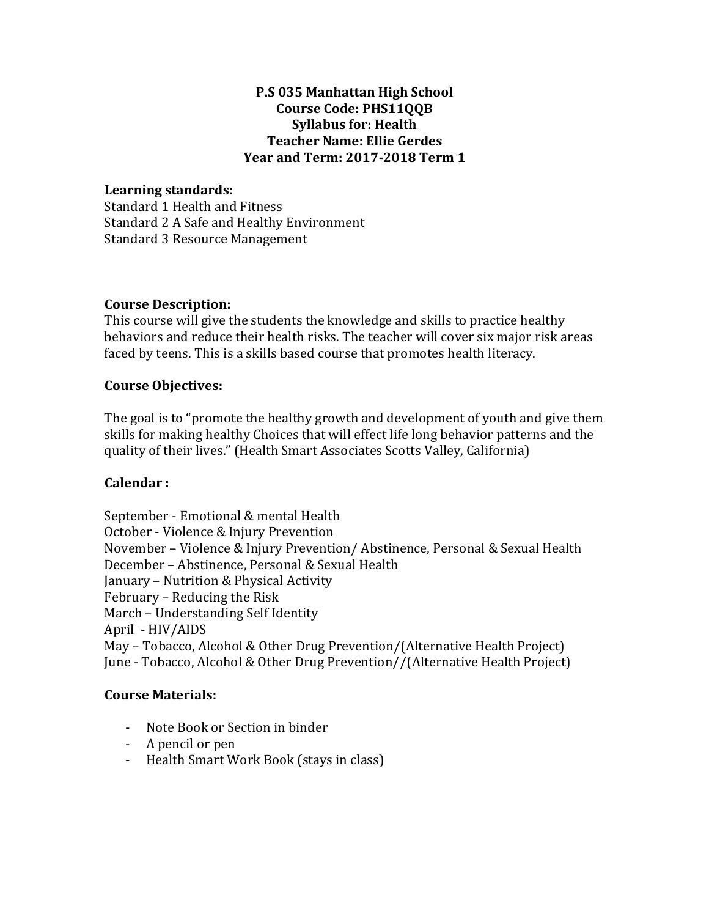# **P.S 035 Manhattan High School Course Code: PHS11QQB Syllabus for: Health Teacher Name: Ellie Gerdes Year and Term: 2017-2018 Term 1**

## **Learning standards:**

Standard 1 Health and Fitness Standard 2 A Safe and Healthy Environment Standard 3 Resource Management

## **Course Description:**

This course will give the students the knowledge and skills to practice healthy behaviors and reduce their health risks. The teacher will cover six major risk areas faced by teens. This is a skills based course that promotes health literacy.

#### **Course Objectives:**

The goal is to "promote the healthy growth and development of youth and give them skills for making healthy Choices that will effect life long behavior patterns and the quality of their lives." (Health Smart Associates Scotts Valley, California)

## Calendar:

September - Emotional & mental Health October - Violence & Injury Prevention November - Violence & Injury Prevention/ Abstinence, Personal & Sexual Health December - Abstinence, Personal & Sexual Health January - Nutrition & Physical Activity February – Reducing the Risk March - Understanding Self Identity April - HIV/AIDS May – Tobacco, Alcohol & Other Drug Prevention/(Alternative Health Project) June - Tobacco, Alcohol & Other Drug Prevention//(Alternative Health Project)

#### **Course Materials:**

- Note Book or Section in binder
- A pencil or pen
- Health Smart Work Book (stays in class)